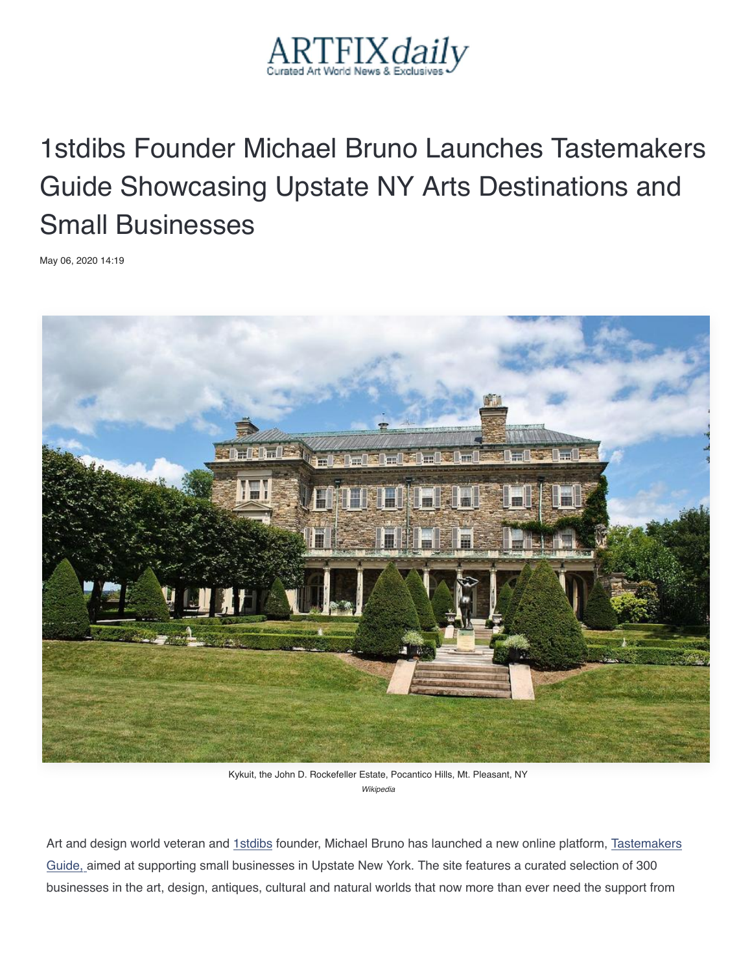

## 1stdibs Founder Michael Bruno Launches Tastemakers Guide Sh[ow](http://www.artfixdaily.com/news_feed/2020/05/06/8358-1stdibs-founder-michael-bruno-launches-tastemakers-guide-showcasi#email_form)casing Upstate NY Arts Destinations and Small [Bus](https://www.pinterest.com/pin/create/button/?guid=uyXMPFYb844p-1&url=http%3A%2F%2Fwww.artfixdaily.com%2Fnews_feed%2F2020%2F05%2F06%2F8358-1stdibs-founder-michael-bruno-launches-tastemakers-guide-showcasi&media=http%3A%2F%2Fwww.artfixdaily.com%2Fimages%2Ffl%2Fkykuit41500x1005.jpg&description=1stdibs%2BFounder%2BMichael%2BBruno%2BLaunches%2BTastemakers%2BGuide%2BShowcasing%2BUpstate%2BNY%2BArts%2BDestinations%2Band%2BSmall%2BBusinesses)inesses

May 06, 2020 14:19



Kykuit, the John D. Rockefeller Estate, Pocantico Hills, Mt. Pleasant, NY *Wikipedia*

Art and design world veteran and 1stdibs founder, Michael Bruno has launched a new online platform, Tastemakers Guide, aimed at supporting small businesses in Upstate New York. The site features a curated selection of 300 businesses in the art, design, antiques, cultural and natural worlds that now more than ever need the support from